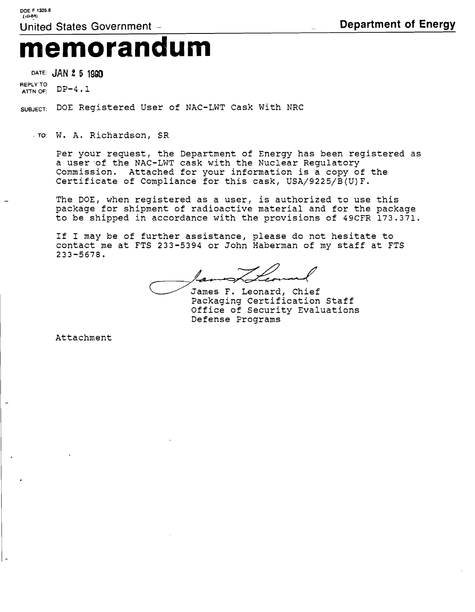## **memorandum**

**DATE: JAN 2 5 1990** 

**REPLY TO ATTN OF:** DP-4.1

**SUBJECT:** DOE Registered User of NAC-LWT Cask With NRC

**TO:** W. A. Richardson, SR

Per your request, the Department of Energy has been registered as a user of the NAC-LWT cask with the Nuclear Regulatory Commission. Attached for your information is a copy of the Certificate of Compliance for this cask, USA/9225/B(U)F.

The DOE, when registered as a user, is authorized to use this package. for shipment of radioactive material and for the package to be shipped in accordance with the provisions of 49CFR 173.371.

If I may be of further assistance, please do not hesitate to contact me at FTS 233-5394 or John Haberman of my staff at FTS 233-5678.

James F. Leonard, Chief Packaging certification Staff Office of Security Evaluations Defense Programs

Attachment